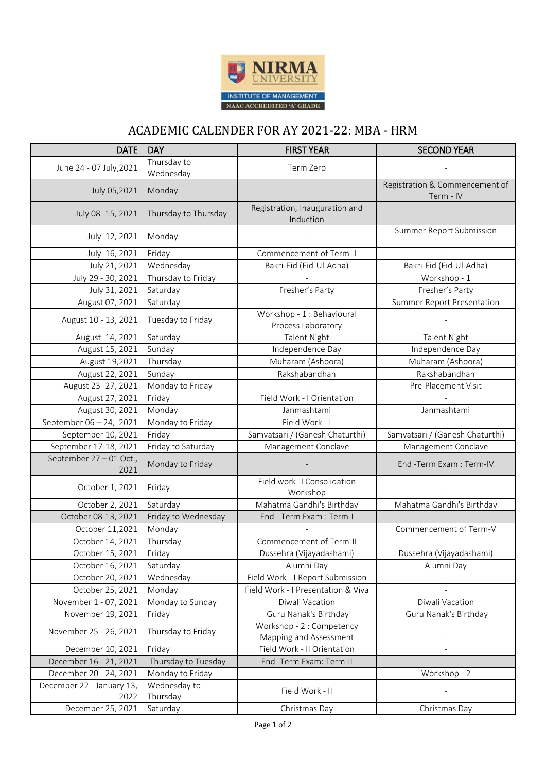

## ACADEMIC CALENDER FOR AY 2021-22: MBA - HRM

| <b>DATE</b>                       | <b>DAY</b>               | <b>FIRST YEAR</b>                                   | <b>SECOND YEAR</b>                          |
|-----------------------------------|--------------------------|-----------------------------------------------------|---------------------------------------------|
| June 24 - 07 July, 2021           | Thursday to<br>Wednesday | Term Zero                                           |                                             |
| July 05,2021                      | Monday                   |                                                     | Registration & Commencement of<br>Term - IV |
| July 08 -15, 2021                 | Thursday to Thursday     | Registration, Inauguration and<br>Induction         |                                             |
| July 12, 2021                     | Monday                   |                                                     | Summer Report Submission                    |
| July 16, 2021                     | Friday                   | Commencement of Term-I                              |                                             |
| July 21, 2021                     | Wednesday                | Bakri-Eid (Eid-Ul-Adha)                             | Bakri-Eid (Eid-Ul-Adha)                     |
| July 29 - 30, 2021                | Thursday to Friday       |                                                     | Workshop - 1                                |
| July 31, 2021                     | Saturday                 | Fresher's Party                                     | Fresher's Party                             |
| August 07, 2021                   | Saturday                 |                                                     | <b>Summer Report Presentation</b>           |
| August 10 - 13, 2021              | Tuesday to Friday        | Workshop - 1 : Behavioural<br>Process Laboratory    |                                             |
| August 14, 2021                   | Saturday                 | <b>Talent Night</b>                                 | <b>Talent Night</b>                         |
| August 15, 2021                   | Sunday                   | Independence Day                                    | Independence Day                            |
| August 19,2021                    | Thursday                 | Muharam (Ashoora)                                   | Muharam (Ashoora)                           |
| August 22, 2021                   | Sunday                   | Rakshabandhan                                       | Rakshabandhan                               |
| August 23-27, 2021                | Monday to Friday         |                                                     | Pre-Placement Visit                         |
| August 27, 2021                   | Friday                   | Field Work - I Orientation                          |                                             |
| August 30, 2021                   | Monday                   | Janmashtami                                         | Janmashtami                                 |
| September 06 - 24, 2021           | Monday to Friday         | Field Work - I                                      |                                             |
| September 10, 2021                | Friday                   | Samvatsari / (Ganesh Chaturthi)                     | Samvatsari / (Ganesh Chaturthi)             |
| September 17-18, 2021             | Friday to Saturday       | Management Conclave                                 | Management Conclave                         |
| September 27-01 Oct.,<br>2021     | Monday to Friday         |                                                     | End -Term Exam : Term-IV                    |
| October 1, 2021                   | Friday                   | Field work -I Consolidation<br>Workshop             |                                             |
| October 2, 2021                   | Saturday                 | Mahatma Gandhi's Birthday                           | Mahatma Gandhi's Birthday                   |
| October 08-13, 2021               | Friday to Wednesday      | End - Term Exam : Term-I                            |                                             |
| October 11,2021                   | Monday                   |                                                     | Commencement of Term-V                      |
| October 14, 2021                  | Thursday                 | Commencement of Term-II                             |                                             |
| October 15, 2021                  | Friday                   | Dussehra (Vijayadashami)                            | Dussehra (Vijayadashami)                    |
| October 16, 2021                  | Saturday                 | Alumni Day                                          | Alumni Day                                  |
| October 20, 2021                  | Wednesday                | Field Work - I Report Submission                    |                                             |
| October 25, 2021                  | Monday                   | Field Work - I Presentation & Viva                  |                                             |
| November 1 - 07, 2021             | Monday to Sunday         | Diwali Vacation                                     | Diwali Vacation                             |
| November 19, 2021                 | Friday                   | Guru Nanak's Birthday                               | Guru Nanak's Birthday                       |
| November 25 - 26, 2021            | Thursday to Friday       | Workshop - 2 : Competency<br>Mapping and Assessment |                                             |
| December 10, 2021                 | Friday                   | Field Work - II Orientation                         |                                             |
| December 16 - 21, 2021            | Thursday to Tuesday      | End -Term Exam: Term-II                             |                                             |
| December 20 - 24, 2021            | Monday to Friday         |                                                     | Workshop - 2                                |
| December 22 - January 13,<br>2022 | Wednesday to<br>Thursday | Field Work - II                                     |                                             |
| December 25, 2021                 | Saturday                 | Christmas Day                                       | Christmas Day                               |